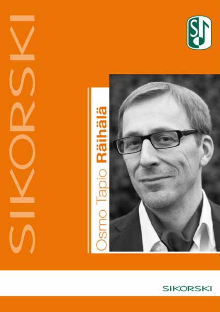



**Contract Contract** 

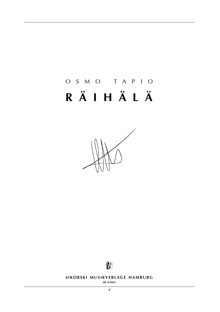# OSMO TAPIO RÄIHÄLÄ





SIKORSKI MUSIKVERLAGE HAMBURG

SIK 4/5663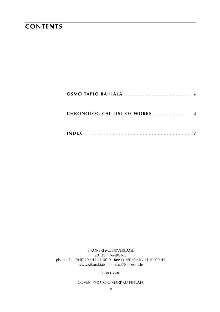### **contents**

| OSMO TAPIO RÄIHÄLÄ                    |
|---------------------------------------|
| <b>CHRONOLOGICAL LIST OF WORKS.</b> 8 |
|                                       |

sikorski Musikverlage 20139 hamburg phone: (+ 49) (0)40 / 41 41 00-0 · fax: (+ 49) (0)40 / 41 41 00-41 www.sikorski.de · contact@sikorski.de

**8 j u ly 2020**

cover photo © Markku Pihlaja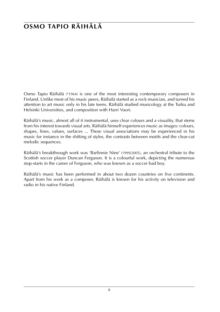## **osmo tapio räihälä**

Osmo Tapio Räihälä (\*1964) is one of the most interesting contemporary composers in Finland. Unlike most of his music peers, Räihälä started as a rock musician, and turned his attention to art music only in his late teens. Räihälä studied musicology at the Turku and Helsinki Universities, and composition with Harri Vuori.

Räihälä's music, almost all of it instrumental, uses clear colours and a visuality, that stems from his interest towards visual arts. Räihälä himself experiences music as images: colours, shapes, lines, values, surfaces ... These visual associations may be experienced in his music for instance in the shifting of styles, the contrasts between motifs and the clear-cut melodic sequences.

Räihälä's breakthrough work was 'Barlinnie Nine' (1999/2005), an orchestral tribute to the Scottish soccer player Duncan Ferguson. It is a colourful work, depicting the numerous stop-starts in the career of Ferguson, who was known as a soccer bad boy.

Räihälä's music has been performed in about two dozen countries on five continents. Apart from his work as a composer, Räihälä is known for his activity on television and radio in his native Finland.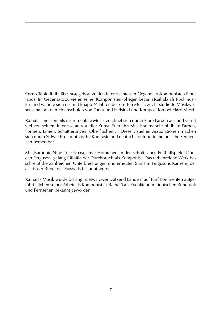Osmo Tapio Räihälä (\*1964) gehört zu den interessantesten Gegenwartskomponisten Finnlands. Im Gegensatz zu vielen seiner Komponistenkollegen begann Räihälä als Rockmusiker und wandte sich erst mit knapp 20 Jahren der ernsten Musik zu. Er studierte Musikwissenschaft an den Hochschulen von Turku und Helsinki und Komposition bei Harri Vuori.

Räihäläs meistenteils instrumentale Musik zeichnet sich durch klare Farben aus und verrät viel von seinem Interesse an visueller Kunst. Er erfährt Musik selbst sehr bildhaft: Farben, Formen, Linien, Schattierungen, Oberflächen ... Diese visuellen Assoziationen machen sich durch Stilwechsel, motivische Kontraste und deutlich konturierte melodische Sequenzen bemerkbar.

Mit ,Barlinnie Nine' (1999/2005), einer Hommage an den schottischen Fußballspieler Duncan Ferguson, gelang Räihälä der Durchbruch als Komponist. Das farbenreiche Werk beschreibt die zahlreichen Unterbrechungen und erneuten Starts in Fergusons Karriere, der als ,böser Bube' des Fußballs bekannt wurde.

Räihäläs Musik wurde bislang in etwa zwei Dutzend Ländern auf fünf Kontinenten aufgeführt. Neben seiner Arbeit als Komponist ist Räihälä als Redakteur im finnischen Rundfunk und Fernsehen bekannt geworden.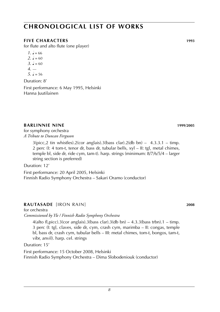#### *8*

### **chronological list of works**

#### **five characters 1993**

for flute and alto flute (one player)

- $1. \, \text{J} = 66$
- $2. \, \text{J} = 60$
- $3. \, \, J = 60$
- *4*. —
- $5. J = 56$

Duration: 8'

First performance: 6 May 1995, Helsinki Hanna Juutilainen

#### **barlinnie nine 1999**/**2005**

for symphony orchestra *A Tribute to Duncan Ferguson*

> $3(picc, 2 tin whistles).2(cor anglais).3(bass clar).2(db bn) - 4.3.3.1 - timp.$ 2 perc (I: 4 tom-t, tenor dr, bass dr, tubular bells, xyl – II: tgl, metal chimes, temple bl, side dr, ride cym, tam-t). harp. strings (minimum: 8/7/6/5/4 – larger string section is preferred)

Duration: 12'

First performance: 20 April 2005, Helsinki Finnish Radio Symphony Orchestra – Sakari Oramo (conductor)

#### **rautasade** [iron rain] **2008**

for orchestra

*Commissioned by Yle / Finnish Radio Symphony Orchestra*

4(alto fl,picc).3(cor anglais).3(bass clar).3(db bn) – 4.3.3(bass trbn).1 – timp. 3 perc (I: tgl, claves, side dr, cym, crash cym, marimba – II: congas, temple bl, bass dr, crash cym, tubular bells – III: metal chimes, tom-t, bongos, tam-t, vibr, anvil). harp. cel. strings

#### Duration: 15'

First performance: 15 October 2008, Helsinki Finnish Radio Symphony Orchestra – Dima Slobodeniouk (conductor)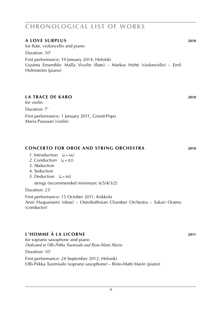#### **a love surplus 2010**

for flute, violoncello and piano Duration: 10' First performance: 19 January 2014, Helsinki Uusinta Ensemble: Malla Vivolin (flute) – Markus Hohti (violoncello) – Emil Holmström (piano)

#### **la trace de karo 2010**

for violin

Duration: 7'

First performance: 1 January 2011, Grand-Popo Maria Puusaari (violin)

#### **concerto for oboe and string orchestra 2010**

- *1*. Introduction  $(J = 66)$
- 2. Conduction  $(d = 82)$
- *3*. Abduction
- *4*. Seduction
- *5*. Deduction  $(J = 84)$

strings (recommended minimum: 6/5/4/3/2)

Duration: 23'

First performance: 15 October 2011, Kokkola Anni Haapaniemi (oboe) – Ostrobothnian Chamber Orchestra – Sakari Oramo (conductor)

#### **L'homme à la licorne 2011**

for soprano saxophone and piano *Dedicated to Olli-Pekka Tuomisalo and Risto-Matti Marin*

Duration: 10'

First performance: 24 September 2012, Helsinki Olli-Pekka Tuomisalo (soprano saxophone) – Risto-Matti Marin (piano)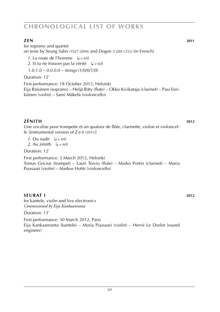#### **Zen 2011**

for soprano and quartet on texts by Seung Sahn (1927-2004) and Dogen (1200-1252) (in French)

*1*. La route de l'homme  $(d = 69)$ 

2. Si tu ne trouves pas la vérité  $(J = 60)$ 

 $1.0.1.0 - 0.0.0.0 - \text{strings} (1/0/0/1/0)$ 

Duration: 12'

First performance: 18 October 2013, Helsinki Eija Räisänen (soprano) – Heljä Räty (flute) – Okko Kivikataja (clarinet) – Pasi Eerikäinen (violin) – Sami Mäkelä (violoncello)

**Zénith 2012** Une vocalise pour trompette et un quatuor de flûte, clarinette, violon et violoncelle [instrumental version of Z e n (2011)]

*1*. Du nadir  $(d = 69)$ 

2. Au zénith  $\left( \right) = 60$ 

Duration: 12'

First performance: 3 March 2012, Helsinki Tomas Gricius (trumpet) – Lauri Toivio (flute) – Marko Portin (clarinet) – Maria Puusaari (violin) – Markus Hohti (violoncello)

#### **SEURAT I** 2012

for kantele, violin and live electronics *Commissioned by Eija Kankaanranta*

Duration: 13'

First performance: 30 March 2012, Paris Eija Kankaanranta (kantele) – Maria Puusaari (violin) – Hervé Le Dorlot (sound engineer)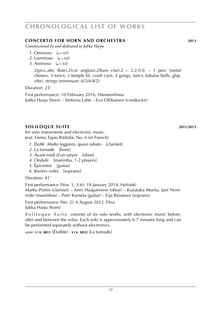#### **concerto for horn and orchestra 2013**

*Commissioned by and dedicated to Jukka Harju*

- 1. Ominoso  $\mathcal{L} = 69$
- 2. Luminoso  $\left( \frac{1}{2} \right) = 60$
- 3. Animoso  $\left( \frac{1}{2} \right) = 64$

 $2$ (picc,alto flute). $2$ (cor anglais). $2$ (bass clar). $2 - 2.2.0.0 - 1$  perc (metal chimes, 3 tom-t, 3 temple bl, crash cym, 2 gongs, tam-t, tubular bells, glsp, vibr). strings (minimum: 6/5/4/4/2)

Duration: 23'

First performance: 10 February 2016, Hämeenlinna Jukka Harju (horn) – Sinfonia Lahti – Eva Ollikainen (conductor)

#### **soliloque suite 2011**/**2013**

for solo instruments and electronic music text: Osmo Tapio Räihälä, No. 6 (in French)

- *1*. Étoffé *Molto leggiero, quasi rubato* [clarinet]
- *2*. La tornade [horn]
- *3*. Avant-midi d'un satyre [oboe]
- *4*. Ondulé [marimba, 1-2 players]
- *5*. Épicentre [guitar]
- *6*. Baisers volés [soprano]

Duration: 41'

First performance (Nos. 1, 3-6): 19 January 2014, Helsinki

Marko Portin (clarinet) – Anni Haapaniemi (oboe) – Kazutaka Morita, Jani Niinimäki (marimbas) – Petri Kumela (guitar) – Eija Räisänen (soprano)

First performance (No. 2): 6 August 2012, Flisa Jukka Harju (horn)

So li lo que Suite consists of six solo works, with electronic music before, after and between the solos. Each solo is approximately 6-7 minutes long and can be performed separately without electronics.

*score:* **s i k 8811** [Étoffée] · **s i k 8832** [La tornade]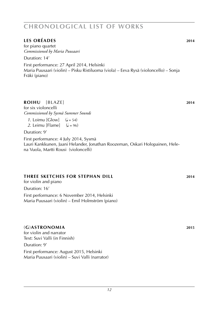#### **les oréades 2014**

for piano quartet *Commissioned by Maria Puusaari*

Duration: 14'

First performance: 27 April 2014, Helsinki Maria Puusaari (violin) – Pisku Ristiluoma (viola) – Eeva Rysä (violoncello) – Sonja Fräki (piano)

#### **roihu** [blaze] **2014**

for six violoncelli *Commissioned by Sysmä Summer Sounds*

*1*. Loimu [Glow]  $(l = 54)$ <br>*2*. Leimu [Flame]  $(l = 96)$ 2. Leimu [Flame]

#### Duration: 9'

First performance: 4 July 2014, Sysmä Lauri Kankkunen, Jaani Helander, Jonathan Roozeman, Oskari Holopainen, Helena Vuola, Martti Rousi (violoncelli)

#### **three sketches for stephan dill 2014**

for violin and piano

Duration: 16'

First performance: 6 November 2014, Helsinki Maria Puusaari (violin) – Emil Holmström (piano)

#### (**G**)**astronomia 2015**

for violin and narrator Text: Suvi Valli (in Finnish)

#### Duration: 9'

First performance: August 2015, Helsinki Maria Puusaari (violin) – Suvi Valli (narrator)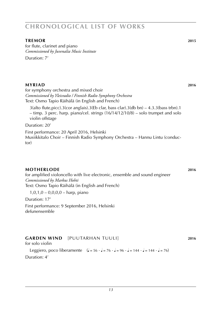#### **tremor 2015**

for flute, clarinet and piano *Commissioned by Juvenalia Music Institute* Duration: 7'

#### **myriad 2016**

for symphony orchestra and mixed choir *Commissioned by Yleisradio / Finnish Radio Symphony Orchestra* Text: Osmo Tapio Räihälä (in English and French)

 $3$ (alto flute,picc). $3$ (cor anglais). $3$ (Eb clar, bass clar). $3$ (db bn) – 4.3. $3$ (bass trbn). $1$ – timp. 3 perc. harp. piano/cel. strings (16/14/12/10/8) – solo trumpet and solo violin offstage

Duration: 20'

First performance: 20 April 2016, Helsinki Musiikkitalo Choir – Finnish Radio Symphony Orchestra – Hannu Lintu (conductor)

#### **motherlode 2016**

for amplified violoncello with live electronic, ensemble and sound engineer *Commissioned by Markus Hohti* Text: Osmo Tapio Räihälä (in English and French)

1,0,1,0 – 0,0,0,0 – harp, piano

Duration: 17'

First performance: 9 September 2016, Helsinki defunensemble

#### **garden wind** [puutarhan tuuli] **2016**

for solo violin

Leggiero, poco liberamente  $(l = 56 \cdot l = 76 \cdot l = 96 \cdot l = 144 \cdot l = 144 \cdot l = 76)$ Duration: 4'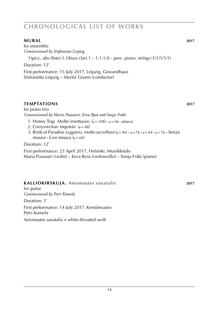#### **MURAL** 2017

for ensemble *Commissioned by Sinfonietta Leipzig*

1(picc, alto flute).1.1(bass clar).1 – 1.1.1.0 – perc. piano. strings (1/1/1/1/1)

Duration: 12'

First performance: 15 July 2017, Leipzig, Gewandhaus Sinfonietta Leipzig – Moritz Gnann (conductor)

#### **temptations 2017**

for piano trio *Commissioned by Maria Puusaari, Eeva Rysä and Sonja Fräki*

- *1*. Honey Trap *Molto insettuoso*  $\left( \right) = 108 \right) \cdot \left( \right) = 66$  *attacca*
- *2*. Corryvreckan *Inquieto* ( $J = 88$ )
- *3*. Birds of Paradise *Leggiero, molto uccelloso* ( $J = 96$ ) **·**  $J = 76$  **·**  $J = 64$  **·**  $J = 76$  **·** Senza misura  $\cdot$  Con misura ( $\sqrt{ }$  = 60)

Duration: 12'

First performance: 23 April 2017, Helsinki, Musiikkitalo Maria Puusaari (violin) – Eeva Rysä (violoncello) – Sonja Fräki (piano)

#### **kalliokirskuja.** Aeronautes saxatalis **2017**

for guitar *Commissioned by Petri Kumela*

Duration: 3'

First performance: 14 July 2017, Kemiönsaaro Petri Kumela

Aeronautes saxatalis = white-throated swift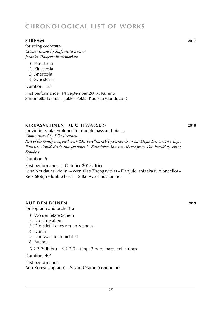#### **STREAM** 2017

for string orchestra *Commissioned by Sinfonietta Lentua Jovanka Trbojevic in memoriam*

- *1*. Parestesia
- *2*. Kinestesia
- *3*. Anestesia
- *4*. Synestesia

Duration: 13' First performance: 14 September 2017, Kuhmo Sinfonietta Lentua – Jukka-Pekka Kuusela (conductor)

### **kirkasvetinen** (lichtwasser) **2018**

for violin, viola, violoncello, double bass and piano *Commissioned by Silke Avenhaus Part of the jointly composed work 'Der Forellenteich' by Ferran Cruixent, Dejan Lazič, Osmo Tapio Räihälä, Gerald Resch and Johannes X. Schachtner based on theme from 'Die Forelle' by Franz Schubert*

Duration: 5'

First performance: 2 October 2018, Trier Lena Neudauer (violin) – Wen Xiao Zheng (viola) – Danjulo Ishizaka (violoncello) – Rick Stotijn (double bass) – Silke Avenhaus (piano)

#### **Auf den Beinen 2019**

for soprano and orchestra

- *1*. Wo der letzte Schein
- *2*. Die Erde allein
- *3*. Die Stiefel enes armen Mannes
- *4*. Durch
- *5*. Und was noch nicht ist
- *6*. Buchen
- 3.2.3.2(db bn) 4.2.2.0 timp. 3 perc. harp. cel. strings

Duration: 40'

First performance: Anu Komsi (soprano) – Sakari Oramu (conductor)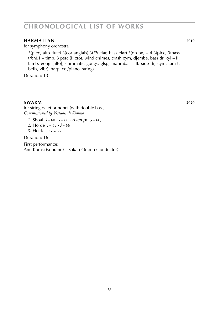#### **harmattan 2019**

for symphony orchestra

3(picc, alto flute).3(cor anglais).3(*Eb* clar, bass clar).3(db bn) – 4.3(picc).3(bass trbn).1 – timp. 3 perc (I: crot, wind chimes, crash cym, djembe, bass dr, xyl – II: tamb, gong [alto], chromatic gongs, glsp, marimba – III: side dr, cym, tam-t, bells, vibr). harp. cel/piano. strings

Duration: 13'

#### **swarm 2020 2020**

for string octet or nonet (with double bass) *Commissioned by Virtuosi di Kuhmo*

*1*. Shoal  $J = 60 \cdot J = 66 \cdot A$  tempo ( $J = 60$ )

*2*. Horde  $J = 52 \cdot J = 66$ 

*3*. Flock  $- \cdot \cdot = 66$ 

Duration: 16'

First performance: Anu Komsi (soprano) – Sakari Oramu (conductor)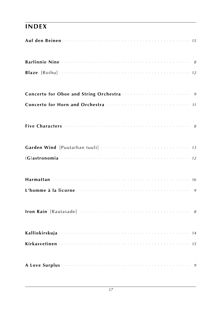### **INDEX**

| Auf den Beinen einer der anteressenzum der anteressenzung der Auf den Beinen und anteressenzung auf |  |
|-----------------------------------------------------------------------------------------------------|--|
| Barlinnie Nine (1999) 1996 (1999) 1996                                                              |  |
|                                                                                                     |  |
|                                                                                                     |  |
|                                                                                                     |  |
|                                                                                                     |  |
|                                                                                                     |  |
|                                                                                                     |  |
|                                                                                                     |  |
|                                                                                                     |  |
|                                                                                                     |  |
|                                                                                                     |  |
|                                                                                                     |  |
|                                                                                                     |  |